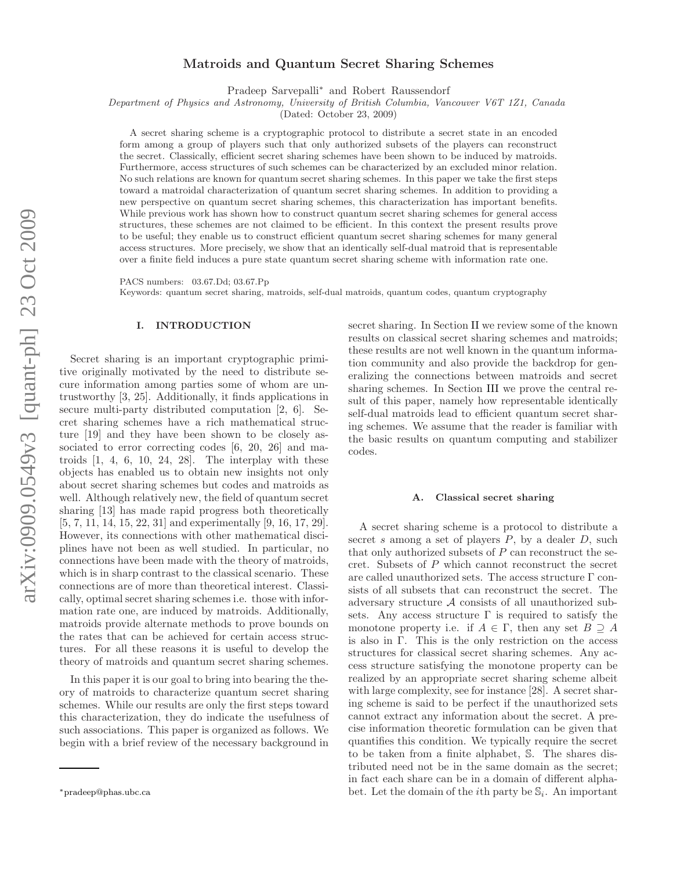# Matroids and Quantum Secret Sharing Schemes

Pradeep Sarvepalli<sup>∗</sup> and Robert Raussendorf

Department of Physics and Astronomy, University of British Columbia, Vancouver V6T 1Z1, Canada

(Dated: October 23, 2009)

A secret sharing scheme is a cryptographic protocol to distribute a secret state in an encoded form among a group of players such that only authorized subsets of the players can reconstruct the secret. Classically, efficient secret sharing schemes have been shown to be induced by matroids. Furthermore, access structures of such schemes can be characterized by an excluded minor relation. No such relations are known for quantum secret sharing schemes. In this paper we take the first steps toward a matroidal characterization of quantum secret sharing schemes. In addition to providing a new perspective on quantum secret sharing schemes, this characterization has important benefits. While previous work has shown how to construct quantum secret sharing schemes for general access structures, these schemes are not claimed to be efficient. In this context the present results prove to be useful; they enable us to construct efficient quantum secret sharing schemes for many general access structures. More precisely, we show that an identically self-dual matroid that is representable over a finite field induces a pure state quantum secret sharing scheme with information rate one.

PACS numbers: 03.67.Dd; 03.67.Pp

Keywords: quantum secret sharing, matroids, self-dual matroids, quantum codes, quantum cryptography

# I. INTRODUCTION

Secret sharing is an important cryptographic primitive originally motivated by the need to distribute secure information among parties some of whom are untrustworthy [3, 25]. Additionally, it finds applications in secure multi-party distributed computation [2, 6]. Secret sharing schemes have a rich mathematical structure [19] and they have been shown to be closely associated to error correcting codes [6, 20, 26] and matroids  $[1, 4, 6, 10, 24, 28]$ . The interplay with these objects has enabled us to obtain new insights not only about secret sharing schemes but codes and matroids as well. Although relatively new, the field of quantum secret sharing [13] has made rapid progress both theoretically [5, 7, 11, 14, 15, 22, 31] and experimentally [9, 16, 17, 29]. However, its connections with other mathematical disciplines have not been as well studied. In particular, no connections have been made with the theory of matroids, which is in sharp contrast to the classical scenario. These connections are of more than theoretical interest. Classically, optimal secret sharing schemes i.e. those with information rate one, are induced by matroids. Additionally, matroids provide alternate methods to prove bounds on the rates that can be achieved for certain access structures. For all these reasons it is useful to develop the theory of matroids and quantum secret sharing schemes.

In this paper it is our goal to bring into bearing the theory of matroids to characterize quantum secret sharing schemes. While our results are only the first steps toward this characterization, they do indicate the usefulness of such associations. This paper is organized as follows. We begin with a brief review of the necessary background in

secret sharing. In Section II we review some of the known results on classical secret sharing schemes and matroids; these results are not well known in the quantum information community and also provide the backdrop for generalizing the connections between matroids and secret sharing schemes. In Section III we prove the central result of this paper, namely how representable identically self-dual matroids lead to efficient quantum secret sharing schemes. We assume that the reader is familiar with the basic results on quantum computing and stabilizer codes.

### A. Classical secret sharing

A secret sharing scheme is a protocol to distribute a secret s among a set of players  $P$ , by a dealer  $D$ , such that only authorized subsets of  $P$  can reconstruct the secret. Subsets of P which cannot reconstruct the secret are called unauthorized sets. The access structure Γ consists of all subsets that can reconstruct the secret. The adversary structure A consists of all unauthorized subsets. Any access structure  $\Gamma$  is required to satisfy the monotone property i.e. if  $A \in \Gamma$ , then any set  $B \supseteq A$ is also in Γ. This is the only restriction on the access structures for classical secret sharing schemes. Any access structure satisfying the monotone property can be realized by an appropriate secret sharing scheme albeit with large complexity, see for instance [28]. A secret sharing scheme is said to be perfect if the unauthorized sets cannot extract any information about the secret. A precise information theoretic formulation can be given that quantifies this condition. We typically require the secret to be taken from a finite alphabet, S. The shares distributed need not be in the same domain as the secret; in fact each share can be in a domain of different alphabet. Let the domain of the *i*<sup>th</sup> party be  $\mathcal{S}_i$ . An important

<sup>∗</sup>pradeep@phas.ubc.ca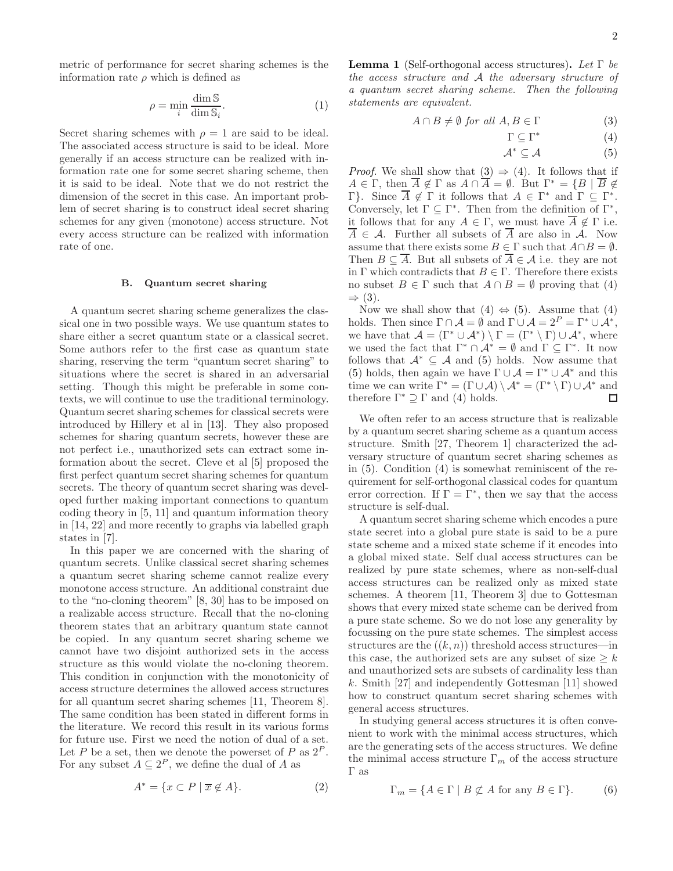metric of performance for secret sharing schemes is the information rate  $\rho$  which is defined as

$$
\rho = \min_{i} \frac{\dim \mathbb{S}}{\dim \mathbb{S}_i}.\tag{1}
$$

Secret sharing schemes with  $\rho = 1$  are said to be ideal. The associated access structure is said to be ideal. More generally if an access structure can be realized with information rate one for some secret sharing scheme, then it is said to be ideal. Note that we do not restrict the dimension of the secret in this case. An important problem of secret sharing is to construct ideal secret sharing schemes for any given (monotone) access structure. Not every access structure can be realized with information rate of one.

## B. Quantum secret sharing

A quantum secret sharing scheme generalizes the classical one in two possible ways. We use quantum states to share either a secret quantum state or a classical secret. Some authors refer to the first case as quantum state sharing, reserving the term "quantum secret sharing" to situations where the secret is shared in an adversarial setting. Though this might be preferable in some contexts, we will continue to use the traditional terminology. Quantum secret sharing schemes for classical secrets were introduced by Hillery et al in [13]. They also proposed schemes for sharing quantum secrets, however these are not perfect i.e., unauthorized sets can extract some information about the secret. Cleve et al [5] proposed the first perfect quantum secret sharing schemes for quantum secrets. The theory of quantum secret sharing was developed further making important connections to quantum coding theory in [5, 11] and quantum information theory in [14, 22] and more recently to graphs via labelled graph states in [7].

In this paper we are concerned with the sharing of quantum secrets. Unlike classical secret sharing schemes a quantum secret sharing scheme cannot realize every monotone access structure. An additional constraint due to the "no-cloning theorem" [8, 30] has to be imposed on a realizable access structure. Recall that the no-cloning theorem states that an arbitrary quantum state cannot be copied. In any quantum secret sharing scheme we cannot have two disjoint authorized sets in the access structure as this would violate the no-cloning theorem. This condition in conjunction with the monotonicity of access structure determines the allowed access structures for all quantum secret sharing schemes [11, Theorem 8]. The same condition has been stated in different forms in the literature. We record this result in its various forms for future use. First we need the notion of dual of a set. Let P be a set, then we denote the powerset of P as  $2^P$ . For any subset  $A \subseteq 2^P$ , we define the dual of A as

$$
A^* = \{ x \subset P \mid \overline{x} \notin A \}. \tag{2}
$$

**Lemma 1** (Self-orthogonal access structures). Let  $\Gamma$  be the access structure and A the adversary structure of a quantum secret sharing scheme. Then the following statements are equivalent.

$$
A \cap B \neq \emptyset \text{ for all } A, B \in \Gamma \tag{3}
$$

$$
\Gamma \subseteq \Gamma^* \tag{4}
$$

$$
\mathcal{A}^* \subseteq \mathcal{A} \tag{5}
$$

*Proof.* We shall show that  $(3) \Rightarrow (4)$ . It follows that if  $A \in \Gamma$ , then  $\overline{A} \notin \Gamma$  as  $A \cap \overline{A} = \emptyset$ . But  $\Gamma^* = \{B \mid \overline{B} \notin \overline{A}\}$  $Γ$ }. Since  $\overline{A}$   $\notin$  Γ it follows that  $A \in Γ^*$  and  $Γ \subseteq Γ^*$ . Conversely, let  $\Gamma \subseteq \Gamma^*$ . Then from the definition of  $\Gamma^*$ , it follows that for any  $A \in \Gamma$ , we must have  $A \notin \Gamma$  i.e.  $\overline{A} \in \mathcal{A}$ . Further all subsets of  $\overline{A}$  are also in  $\mathcal{A}$ . Now assume that there exists some  $B \in \Gamma$  such that  $A \cap B = \emptyset$ . Then  $B \subseteq \overline{A}$ . But all subsets of  $\overline{A} \in \mathcal{A}$  i.e. they are not in Γ which contradicts that  $B \in \Gamma$ . Therefore there exists no subset  $B \in \Gamma$  such that  $A \cap B = \emptyset$  proving that (4)  $\Rightarrow$  (3).

Now we shall show that  $(4) \Leftrightarrow (5)$ . Assume that  $(4)$ holds. Then since  $\Gamma \cap A = \emptyset$  and  $\Gamma \cup A = 2^P = \Gamma^* \cup A^*$ , we have that  $\mathcal{A} = (\Gamma^* \cup \mathcal{A}^*) \setminus \Gamma = (\Gamma^* \setminus \Gamma) \cup \mathcal{A}^*$ , where we used the fact that  $\Gamma^* \cap \mathcal{A}^* = \emptyset$  and  $\Gamma \subseteq \Gamma^*$ . It now follows that  $\mathcal{A}^* \subseteq \mathcal{A}$  and (5) holds. Now assume that (5) holds, then again we have  $\Gamma \cup \mathcal{A} = \Gamma^* \cup \mathcal{A}^*$  and this time we can write  $\Gamma^* = (\Gamma \cup \mathcal{A}) \setminus \mathcal{A}^* = (\Gamma^* \setminus \Gamma) \cup \mathcal{A}^*$  and therefore  $\Gamma^* \supseteq \Gamma$  and (4) holds.  $\Box$ 

We often refer to an access structure that is realizable by a quantum secret sharing scheme as a quantum access structure. Smith [27, Theorem 1] characterized the adversary structure of quantum secret sharing schemes as in (5). Condition (4) is somewhat reminiscent of the requirement for self-orthogonal classical codes for quantum error correction. If  $\Gamma = \Gamma^*$ , then we say that the access structure is self-dual.

A quantum secret sharing scheme which encodes a pure state secret into a global pure state is said to be a pure state scheme and a mixed state scheme if it encodes into a global mixed state. Self dual access structures can be realized by pure state schemes, where as non-self-dual access structures can be realized only as mixed state schemes. A theorem [11, Theorem 3] due to Gottesman shows that every mixed state scheme can be derived from a pure state scheme. So we do not lose any generality by focussing on the pure state schemes. The simplest access structures are the  $((k, n))$  threshold access structures—in this case, the authorized sets are any subset of size  $\geq k$ and unauthorized sets are subsets of cardinality less than k. Smith [27] and independently Gottesman [11] showed how to construct quantum secret sharing schemes with general access structures.

In studying general access structures it is often convenient to work with the minimal access structures, which are the generating sets of the access structures. We define the minimal access structure  $\Gamma_m$  of the access structure Γ as

$$
\Gamma_m = \{ A \in \Gamma \mid B \not\subset A \text{ for any } B \in \Gamma \}. \tag{6}
$$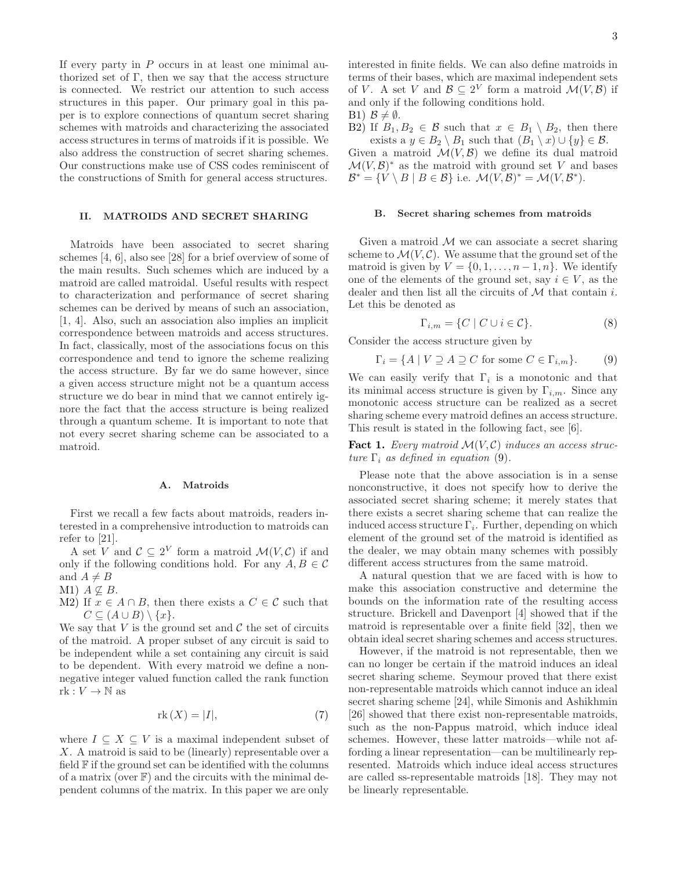If every party in  $P$  occurs in at least one minimal authorized set of  $\Gamma$ , then we say that the access structure is connected. We restrict our attention to such access structures in this paper. Our primary goal in this paper is to explore connections of quantum secret sharing schemes with matroids and characterizing the associated access structures in terms of matroids if it is possible. We also address the construction of secret sharing schemes. Our constructions make use of CSS codes reminiscent of the constructions of Smith for general access structures.

# II. MATROIDS AND SECRET SHARING

Matroids have been associated to secret sharing schemes [4, 6], also see [28] for a brief overview of some of the main results. Such schemes which are induced by a matroid are called matroidal. Useful results with respect to characterization and performance of secret sharing schemes can be derived by means of such an association, [1, 4]. Also, such an association also implies an implicit correspondence between matroids and access structures. In fact, classically, most of the associations focus on this correspondence and tend to ignore the scheme realizing the access structure. By far we do same however, since a given access structure might not be a quantum access structure we do bear in mind that we cannot entirely ignore the fact that the access structure is being realized through a quantum scheme. It is important to note that not every secret sharing scheme can be associated to a matroid.

## A. Matroids

First we recall a few facts about matroids, readers interested in a comprehensive introduction to matroids can refer to [21].

A set V and  $\mathcal{C} \subseteq 2^V$  form a matroid  $\mathcal{M}(V, \mathcal{C})$  if and only if the following conditions hold. For any  $A, B \in \mathcal{C}$ and  $A \neq B$ 

M1)  $A \nsubseteq B$ .

M2) If  $x \in A \cap B$ , then there exists a  $C \in \mathcal{C}$  such that  $C \subseteq (A \cup B) \setminus \{x\}.$ 

We say that  $V$  is the ground set and  $\mathcal C$  the set of circuits of the matroid. A proper subset of any circuit is said to be independent while a set containing any circuit is said to be dependent. With every matroid we define a nonnegative integer valued function called the rank function  $rk: V \to \mathbb{N}$  as

$$
rk(X) = |I|,\t(7)
$$

where  $I \subseteq X \subseteq V$  is a maximal independent subset of X. A matroid is said to be (linearly) representable over a field  $\mathbb F$  if the ground set can be identified with the columns of a matrix (over  $\mathbb{F}$ ) and the circuits with the minimal dependent columns of the matrix. In this paper we are only

interested in finite fields. We can also define matroids in terms of their bases, which are maximal independent sets of V. A set V and  $\mathcal{B} \subseteq 2^V$  form a matroid  $\mathcal{M}(V, \mathcal{B})$  if and only if the following conditions hold.

B1)  $\mathcal{B} \neq \emptyset$ .

B2) If  $B_1, B_2 \in \mathcal{B}$  such that  $x \in B_1 \setminus B_2$ , then there exists a  $y \in B_2 \setminus B_1$  such that  $(B_1 \setminus x) \cup \{y\} \in \mathcal{B}$ . Given a matroid  $\mathcal{M}(V,\mathcal{B})$  we define its dual matroid  $\mathcal{M}(V,\mathcal{B})^*$  as the matroid with ground set V and bases  $\mathcal{B}^* = \{ V \setminus B \mid B \in \mathcal{B} \}$  i.e.  $\mathcal{M}(V, \mathcal{B})^* = \mathcal{M}(V, \mathcal{B}^*).$ 

## B. Secret sharing schemes from matroids

Given a matroid  $M$  we can associate a secret sharing scheme to  $\mathcal{M}(V, \mathcal{C})$ . We assume that the ground set of the matroid is given by  $V = \{0, 1, \ldots, n-1, n\}$ . We identify one of the elements of the ground set, say  $i \in V$ , as the dealer and then list all the circuits of  $M$  that contain i. Let this be denoted as

$$
\Gamma_{i,m} = \{ C \mid C \cup i \in \mathcal{C} \}. \tag{8}
$$

Consider the access structure given by

$$
\Gamma_i = \{ A \mid V \supseteq A \supseteq C \text{ for some } C \in \Gamma_{i,m} \}. \tag{9}
$$

We can easily verify that  $\Gamma_i$  is a monotonic and that its minimal access structure is given by  $\Gamma_{i,m}$ . Since any monotonic access structure can be realized as a secret sharing scheme every matroid defines an access structure. This result is stated in the following fact, see [6].

**Fact 1.** Every matroid  $\mathcal{M}(V, \mathcal{C})$  induces an access structure  $\Gamma_i$  as defined in equation (9).

Please note that the above association is in a sense nonconstructive, it does not specify how to derive the associated secret sharing scheme; it merely states that there exists a secret sharing scheme that can realize the induced access structure  $\Gamma_i$ . Further, depending on which element of the ground set of the matroid is identified as the dealer, we may obtain many schemes with possibly different access structures from the same matroid.

A natural question that we are faced with is how to make this association constructive and determine the bounds on the information rate of the resulting access structure. Brickell and Davenport [4] showed that if the matroid is representable over a finite field [32], then we obtain ideal secret sharing schemes and access structures.

However, if the matroid is not representable, then we can no longer be certain if the matroid induces an ideal secret sharing scheme. Seymour proved that there exist non-representable matroids which cannot induce an ideal secret sharing scheme [24], while Simonis and Ashikhmin [26] showed that there exist non-representable matroids, such as the non-Pappus matroid, which induce ideal schemes. However, these latter matroids—while not affording a linear representation—can be multilinearly represented. Matroids which induce ideal access structures are called ss-representable matroids [18]. They may not be linearly representable.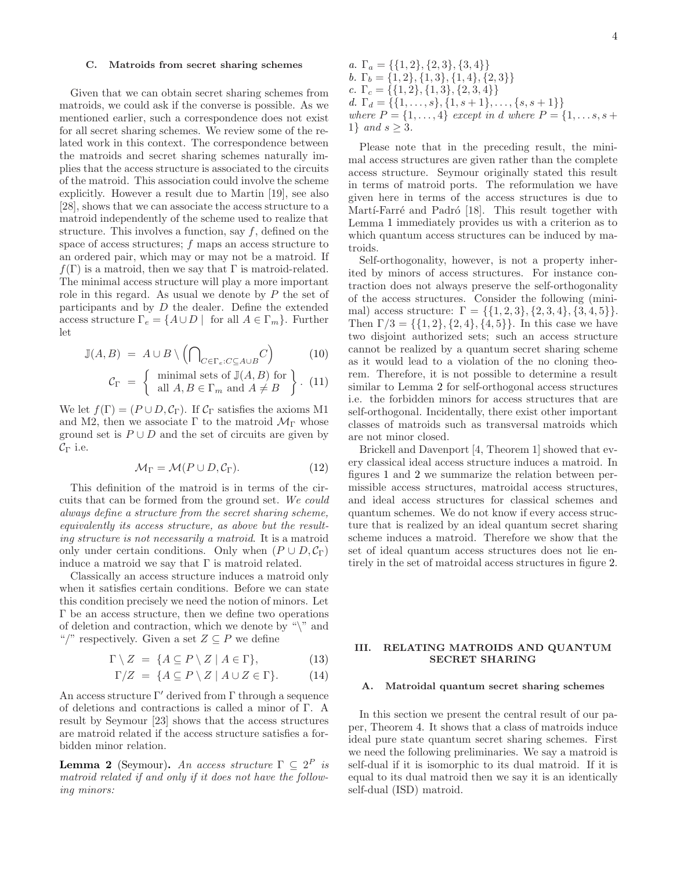### C. Matroids from secret sharing schemes

Given that we can obtain secret sharing schemes from matroids, we could ask if the converse is possible. As we mentioned earlier, such a correspondence does not exist for all secret sharing schemes. We review some of the related work in this context. The correspondence between the matroids and secret sharing schemes naturally implies that the access structure is associated to the circuits of the matroid. This association could involve the scheme explicitly. However a result due to Martin [19], see also [28], shows that we can associate the access structure to a matroid independently of the scheme used to realize that structure. This involves a function, say  $f$ , defined on the space of access structures;  $f$  maps an access structure to an ordered pair, which may or may not be a matroid. If  $f(\Gamma)$  is a matroid, then we say that  $\Gamma$  is matroid-related. The minimal access structure will play a more important role in this regard. As usual we denote by  $P$  the set of participants and by  $D$  the dealer. Define the extended access structure  $\Gamma_e = \{A \cup D \mid \text{ for all } A \in \Gamma_m\}$ . Further let

$$
\mathbb{J}(A,B) = A \cup B \setminus \left(\bigcap_{C \in \Gamma_e : C \subseteq A \cup B} C\right) \tag{10}
$$

$$
\mathcal{C}_{\Gamma} = \left\{ \begin{array}{c} \text{minimal sets of } \mathbb{J}(A, B) \text{ for} \\ \text{all } A, B \in \Gamma_m \text{ and } A \neq B \end{array} \right\}. (11)
$$

We let  $f(\Gamma) = (P \cup D, C_{\Gamma})$ . If  $C_{\Gamma}$  satisfies the axioms M1 and M2, then we associate  $\Gamma$  to the matroid  $\mathcal{M}_{\Gamma}$  whose ground set is  $P \cup D$  and the set of circuits are given by  $\mathcal{C}_{\Gamma}$  i.e.

$$
\mathcal{M}_{\Gamma} = \mathcal{M}(P \cup D, \mathcal{C}_{\Gamma}). \tag{12}
$$

This definition of the matroid is in terms of the circuits that can be formed from the ground set. We could always define a structure from the secret sharing scheme, equivalently its access structure, as above but the resulting structure is not necessarily a matroid. It is a matroid only under certain conditions. Only when  $(P \cup D, C_{\Gamma})$ induce a matroid we say that  $\Gamma$  is matroid related.

Classically an access structure induces a matroid only when it satisfies certain conditions. Before we can state this condition precisely we need the notion of minors. Let Γ be an access structure, then we define two operations of deletion and contraction, which we denote by " $\mathcal{N}$ " and "/" respectively. Given a set  $Z \subseteq P$  we define

$$
\Gamma \setminus Z = \{ A \subseteq P \setminus Z \mid A \in \Gamma \}, \tag{13}
$$

$$
\Gamma/Z = \{ A \subseteq P \setminus Z \mid A \cup Z \in \Gamma \}. \tag{14}
$$

An access structure  $\Gamma'$  derived from  $\Gamma$  through a sequence of deletions and contractions is called a minor of Γ. A result by Seymour [23] shows that the access structures are matroid related if the access structure satisfies a forbidden minor relation.

**Lemma 2** (Seymour). An access structure  $\Gamma \subseteq 2^P$  is matroid related if and only if it does not have the following minors:

a. 
$$
\Gamma_a = \{\{1, 2\}, \{2, 3\}, \{3, 4\}\}
$$
  
\nb.  $\Gamma_b = \{1, 2\}, \{1, 3\}, \{1, 4\}, \{2, 3\}\}$   
\nc.  $\Gamma_c = \{\{1, 2\}, \{1, 3\}, \{2, 3, 4\}\}$   
\nd.  $\Gamma_d = \{\{1, \ldots, s\}, \{1, s+1\}, \ldots, \{s, s+1\}\}$   
\nwhere  $P = \{1, \ldots, 4\}$  except in d where  $P = \{1, \ldots, s, s+1\}$  and  $s \geq 3$ .

Please note that in the preceding result, the minimal access structures are given rather than the complete access structure. Seymour originally stated this result in terms of matroid ports. The reformulation we have given here in terms of the access structures is due to Martí-Farré and Padró [18]. This result together with Lemma 1 immediately provides us with a criterion as to which quantum access structures can be induced by matroids.

Self-orthogonality, however, is not a property inherited by minors of access structures. For instance contraction does not always preserve the self-orthogonality of the access structures. Consider the following (minimal) access structure:  $\Gamma = \{ \{1, 2, 3\}, \{2, 3, 4\}, \{3, 4, 5\} \}.$ Then  $\Gamma/3 = \{\{1, 2\}, \{2, 4\}, \{4, 5\}\}\.$  In this case we have two disjoint authorized sets; such an access structure cannot be realized by a quantum secret sharing scheme as it would lead to a violation of the no cloning theorem. Therefore, it is not possible to determine a result similar to Lemma 2 for self-orthogonal access structures i.e. the forbidden minors for access structures that are self-orthogonal. Incidentally, there exist other important classes of matroids such as transversal matroids which are not minor closed.

Brickell and Davenport [4, Theorem 1] showed that every classical ideal access structure induces a matroid. In figures 1 and 2 we summarize the relation between permissible access structures, matroidal access structures, and ideal access structures for classical schemes and quantum schemes. We do not know if every access structure that is realized by an ideal quantum secret sharing scheme induces a matroid. Therefore we show that the set of ideal quantum access structures does not lie entirely in the set of matroidal access structures in figure 2.

# III. RELATING MATROIDS AND QUANTUM SECRET SHARING

#### A. Matroidal quantum secret sharing schemes

In this section we present the central result of our paper, Theorem 4. It shows that a class of matroids induce ideal pure state quantum secret sharing schemes. First we need the following preliminaries. We say a matroid is self-dual if it is isomorphic to its dual matroid. If it is equal to its dual matroid then we say it is an identically self-dual (ISD) matroid.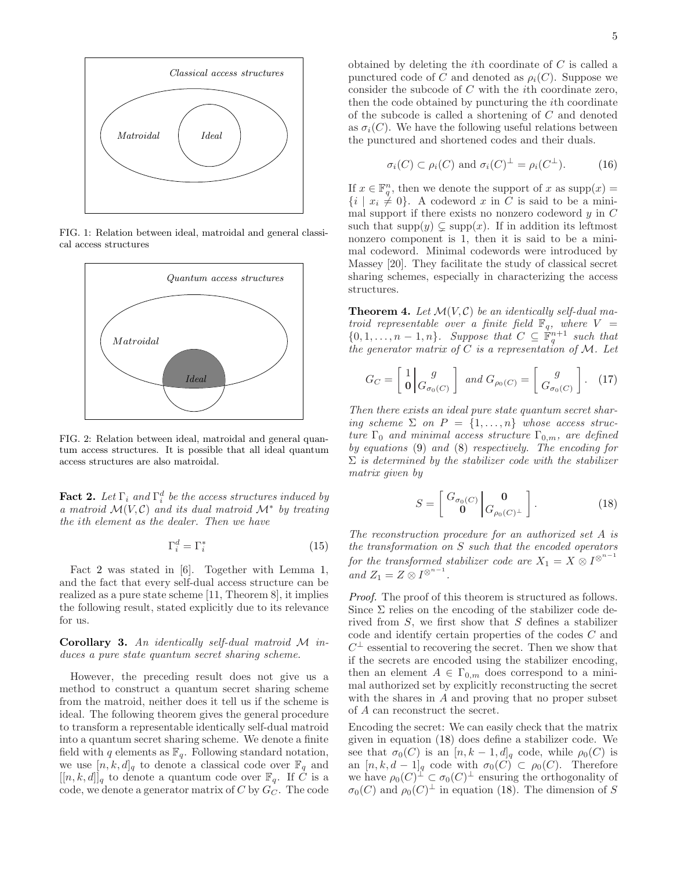

FIG. 1: Relation between ideal, matroidal and general classical access structures



FIG. 2: Relation between ideal, matroidal and general quantum access structures. It is possible that all ideal quantum access structures are also matroidal.

**Fact 2.** Let  $\Gamma_i$  and  $\Gamma_i^d$  be the access structures induced by a matroid  $\mathcal{M}(V, \mathcal{C})$  and its dual matroid  $\mathcal{M}^*$  by treating the ith element as the dealer. Then we have

$$
\Gamma_i^d = \Gamma_i^* \tag{15}
$$

Fact 2 was stated in [6]. Together with Lemma 1, and the fact that every self-dual access structure can be realized as a pure state scheme [11, Theorem 8], it implies the following result, stated explicitly due to its relevance for us.

**Corollary 3.** An identically self-dual matroid  $M$  induces a pure state quantum secret sharing scheme.

However, the preceding result does not give us a method to construct a quantum secret sharing scheme from the matroid, neither does it tell us if the scheme is ideal. The following theorem gives the general procedure to transform a representable identically self-dual matroid into a quantum secret sharing scheme. We denote a finite field with q elements as  $\mathbb{F}_q$ . Following standard notation, we use  $[n, k, d]_q$  to denote a classical code over  $\mathbb{F}_q$  and  $[[n, k, d]]_q$  to denote a quantum code over  $\mathbb{F}_q$ . If C is a code, we denote a generator matrix of  $C$  by  $G_C$ . The code

obtained by deleting the *i*th coordinate of  $C$  is called a punctured code of C and denoted as  $\rho_i(C)$ . Suppose we consider the subcode of C with the ith coordinate zero, then the code obtained by puncturing the ith coordinate of the subcode is called a shortening of C and denoted as  $\sigma_i(C)$ . We have the following useful relations between the punctured and shortened codes and their duals.

$$
\sigma_i(C) \subset \rho_i(C) \text{ and } \sigma_i(C)^{\perp} = \rho_i(C^{\perp}). \tag{16}
$$

If  $x \in \mathbb{F}_q^n$ , then we denote the support of x as  $\text{supp}(x) =$  $\{i \mid x_i \neq 0\}$ . A codeword x in C is said to be a minimal support if there exists no nonzero codeword  $y$  in  $C$ such that  $supp(y) \subsetneq supp(x)$ . If in addition its leftmost nonzero component is 1, then it is said to be a minimal codeword. Minimal codewords were introduced by Massey [20]. They facilitate the study of classical secret sharing schemes, especially in characterizing the access structures.

**Theorem 4.** Let  $\mathcal{M}(V, \mathcal{C})$  be an identically self-dual matroid representable over a finite field  $\mathbb{F}_q$ , where  $V =$  $\{0, 1, \ldots, n-1, n\}$ . Suppose that  $C \subseteq \mathbb{F}_q^{n+1}$  such that the generator matrix of  $C$  is a representation of  $M$ . Let

$$
G_C = \begin{bmatrix} 1 \\ \mathbf{0} \end{bmatrix} \begin{bmatrix} g \\ G_{\sigma_0(C)} \end{bmatrix} \text{ and } G_{\rho_0(C)} = \begin{bmatrix} g \\ G_{\sigma_0(C)} \end{bmatrix}. \tag{17}
$$

Then there exists an ideal pure state quantum secret sharing scheme  $\Sigma$  on  $P = \{1, \ldots, n\}$  whose access structure  $\Gamma_0$  and minimal access structure  $\Gamma_{0,m}$ , are defined by equations (9) and (8) respectively. The encoding for  $\Sigma$  is determined by the stabilizer code with the stabilizer matrix given by

$$
S = \begin{bmatrix} G_{\sigma_0(C)} & \mathbf{0} \\ \mathbf{0} & G_{\rho_0(C)^{\perp}} \end{bmatrix} . \tag{18}
$$

The reconstruction procedure for an authorized set A is the transformation on S such that the encoded operators for the transformed stabilizer code are  $X_1 = X_1 \otimes I^{\otimes^{n-1}}$ and  $Z_1 = Z \otimes I^{\otimes^{n-1}}$ .

Proof. The proof of this theorem is structured as follows. Since  $\Sigma$  relies on the encoding of the stabilizer code derived from  $S$ , we first show that  $S$  defines a stabilizer code and identify certain properties of the codes C and  $C^{\perp}$  essential to recovering the secret. Then we show that if the secrets are encoded using the stabilizer encoding, then an element  $A \in \Gamma_{0,m}$  does correspond to a minimal authorized set by explicitly reconstructing the secret with the shares in  $A$  and proving that no proper subset of A can reconstruct the secret.

Encoding the secret: We can easily check that the matrix given in equation (18) does define a stabilizer code. We see that  $\sigma_0(C)$  is an  $[n, k-1, d]_q$  code, while  $\rho_0(C)$  is an  $[n, k, d-1]_q$  code with  $\sigma_0(C) \subset \rho_0(C)$ . Therefore we have  $\rho_0(C)^{\perp} \subset \sigma_0(C)^{\perp}$  ensuring the orthogonality of  $\sigma_0(C)$  and  $\rho_0(C)^{\perp}$  in equation (18). The dimension of S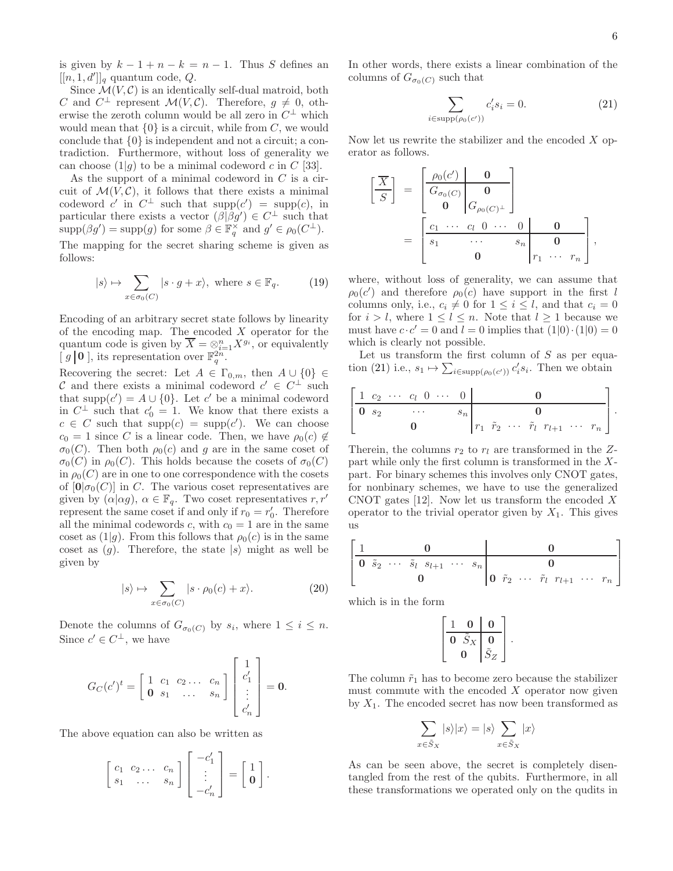is given by  $k - 1 + n - k = n - 1$ . Thus S defines an  $[[n, 1, d']]_q$  quantum code,  $Q$ .

Since  $\mathcal{M}(V, \mathcal{C})$  is an identically self-dual matroid, both C and  $C^{\perp}$  represent  $\mathcal{M}(V, \mathcal{C})$ . Therefore,  $g \neq 0$ , otherwise the zeroth column would be all zero in  $C^{\perp}$  which would mean that  $\{0\}$  is a circuit, while from C, we would conclude that {0} is independent and not a circuit; a contradiction. Furthermore, without loss of generality we can choose  $(1|g)$  to be a minimal codeword c in C [33].

As the support of a minimal codeword in  $C$  is a circuit of  $\mathcal{M}(V, \mathcal{C})$ , it follows that there exists a minimal codeword c' in  $C^{\perp}$  such that  $supp(c') = supp(c)$ , in particular there exists a vector  $(\beta|\beta g') \in C^{\perp}$  such that  $\text{supp}(\beta g') = \text{supp}(g)$  for some  $\beta \in \mathbb{F}_q^{\times}$  and  $g' \in \rho_0(C^{\perp}).$ 

The mapping for the secret sharing scheme is given as follows:

$$
|s\rangle \mapsto \sum_{x \in \sigma_0(C)} |s \cdot g + x\rangle, \text{ where } s \in \mathbb{F}_q. \tag{19}
$$

Encoding of an arbitrary secret state follows by linearity of the encoding map. The encoded  $X$  operator for the quantum code is given by  $\overline{X} = \otimes_{i=1}^n X^{g_i}$ , or equivalently [ $g$  | 0 ], its representation over  $\mathbb{F}_q^{2n}$ .

Recovering the secret: Let  $A \in \Gamma_{0,m}$ , then  $A \cup \{0\} \in$ C and there exists a minimal codeword  $c' \in C^{\perp}$  such that supp $(c') = A \cup \{0\}$ . Let c' be a minimal codeword in  $C^{\perp}$  such that  $c'_0 = 1$ . We know that there exists a  $c \in C$  such that  $supp(c) = supp(c')$ . We can choose  $c_0 = 1$  since C is a linear code. Then, we have  $\rho_0(c) \notin$  $\sigma_0(C)$ . Then both  $\rho_0(c)$  and g are in the same coset of  $\sigma_0(C)$  in  $\rho_0(C)$ . This holds because the cosets of  $\sigma_0(C)$ in  $\rho_0(C)$  are in one to one correspondence with the cosets of  $[0|\sigma_0(C)]$  in C. The various coset representatives are given by  $(\alpha|\alpha g)$ ,  $\alpha \in \mathbb{F}_q$ . Two coset representatives  $r, r'$ represent the same coset if and only if  $r_0 = r'_0$ . Therefore all the minimal codewords c, with  $c_0 = 1$  are in the same coset as  $(1|g)$ . From this follows that  $\rho_0(c)$  is in the same coset as  $(g)$ . Therefore, the state  $|s\rangle$  might as well be given by

$$
|s\rangle \mapsto \sum_{x \in \sigma_0(C)} |s \cdot \rho_0(c) + x\rangle. \tag{20}
$$

Denote the columns of  $G_{\sigma_0(C)}$  by  $s_i$ , where  $1 \leq i \leq n$ . Since  $c' \in C^{\perp}$ , we have

$$
G_C(c')^t = \begin{bmatrix} 1 & c_1 & c_2 & \dots & c_n \\ \mathbf{0} & s_1 & \dots & s_n \end{bmatrix} \begin{bmatrix} 1 \\ c'_1 \\ \vdots \\ c'_n \end{bmatrix} = \mathbf{0}.
$$

The above equation can also be written as

$$
\left[\begin{array}{ccc} c_1 & c_2 & \dots & c_n \\ s_1 & \dots & s_n \end{array}\right] \left[\begin{array}{c} -c'_1 \\ \vdots \\ -c'_n \end{array}\right] = \left[\begin{array}{c} 1 \\ \mathbf{0} \end{array}\right].
$$

In other words, there exists a linear combination of the columns of  $G_{\sigma_0(C)}$  such that

$$
\sum_{i \in \text{supp}(\rho_0(c'))} c_i's_i = 0.
$$
\n(21)

Now let us rewrite the stabilizer and the encoded  $X$  operator as follows.

 X S = ρ0(c ′ ) 0 G<sup>σ</sup>0(C) 0 0 G<sup>ρ</sup>0(C)<sup>⊥</sup> = c<sup>1</sup> · · · c<sup>l</sup> 0 · · · 0 0 s<sup>1</sup> · · · s<sup>n</sup> 0 0 r<sup>1</sup> · · · r<sup>n</sup> ,

where, without loss of generality, we can assume that  $\rho_0(c')$  and therefore  $\rho_0(c)$  have support in the first l columns only, i.e.,  $c_i \neq 0$  for  $1 \leq i \leq l$ , and that  $c_i = 0$ for  $i > l$ , where  $1 \leq l \leq n$ . Note that  $l \geq 1$  because we must have  $c \cdot c' = 0$  and  $l = 0$  implies that  $(1|0) \cdot (1|0) = 0$ which is clearly not possible.

Let us transform the first column of  $S$  as per equation (21) i.e.,  $s_1 \mapsto \sum_{i \in \text{supp}(\rho_0(c'))} c_i' s_i$ . Then we obtain

$$
\left[\begin{array}{cccc|cccc}\n1 & c_2 & \cdots & c_l & 0 & \cdots & 0 & \mathbf{0} \\
\hline\n\mathbf{0} & s_2 & \cdots & s_n & & \mathbf{0} \\
\mathbf{0} & & & r_1 & \tilde{r}_2 & \cdots & \tilde{r}_l & r_{l+1} & \cdots & r_n\n\end{array}\right].
$$

Therein, the columns  $r_2$  to  $r_l$  are transformed in the Zpart while only the first column is transformed in the Xpart. For binary schemes this involves only CNOT gates, for nonbinary schemes, we have to use the generalized CNOT gates [12]. Now let us transform the encoded  $X$ operator to the trivial operator given by  $X_1$ . This gives us

$$
\begin{bmatrix} 1 & 0 & 0 \ 0 & \tilde{s}_2 & \cdots & \tilde{s}_l & s_{l+1} & \cdots & s_n \\ 0 & 0 & 0 & 0 & \tilde{r}_2 & \cdots & \tilde{r}_l & r_{l+1} & \cdots & r_n \end{bmatrix}
$$

which is in the form

$$
\left[\begin{array}{cc|c} 1 & 0 & 0 \\ \hline 0 & \tilde{S}_X & 0 \\ 0 & \tilde{S}_Z \end{array}\right].
$$

The column  $\tilde{r}_1$  has to become zero because the stabilizer must commute with the encoded  $X$  operator now given by  $X_1$ . The encoded secret has now been transformed as

$$
\sum_{x \in \tilde{S}_X} |s\rangle |x\rangle = |s\rangle \sum_{x \in \tilde{S}_X} |x\rangle
$$

As can be seen above, the secret is completely disentangled from the rest of the qubits. Furthermore, in all these transformations we operated only on the qudits in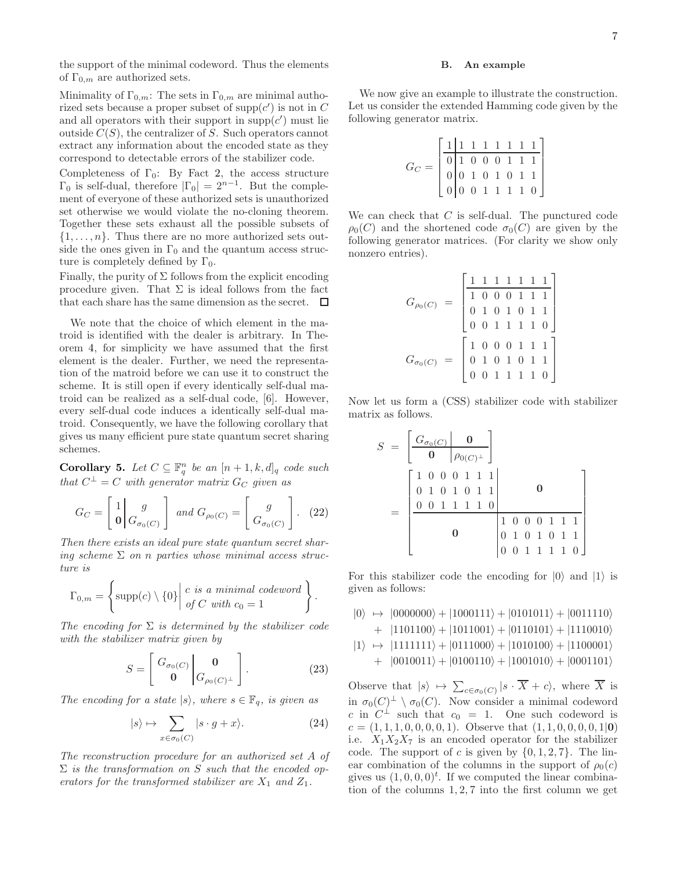the support of the minimal codeword. Thus the elements of  $\Gamma_{0,m}$  are authorized sets.

Minimality of  $\Gamma_{0,m}$ : The sets in  $\Gamma_{0,m}$  are minimal authorized sets because a proper subset of  $\text{supp}(c')$  is not in C and all operators with their support in  $\text{supp}(c')$  must lie outside  $C(S)$ , the centralizer of S. Such operators cannot extract any information about the encoded state as they correspond to detectable errors of the stabilizer code.

Completeness of  $\Gamma_0$ : By Fact 2, the access structure  $\Gamma_0$  is self-dual, therefore  $|\Gamma_0| = 2^{n-1}$ . But the complement of everyone of these authorized sets is unauthorized set otherwise we would violate the no-cloning theorem. Together these sets exhaust all the possible subsets of  $\{1, \ldots, n\}$ . Thus there are no more authorized sets outside the ones given in  $\Gamma_0$  and the quantum access structure is completely defined by  $\Gamma_0$ .

Finally, the purity of  $\Sigma$  follows from the explicit encoding procedure given. That  $\Sigma$  is ideal follows from the fact that each share has the same dimension as the secret.  $\Box$ 

We note that the choice of which element in the matroid is identified with the dealer is arbitrary. In Theorem 4, for simplicity we have assumed that the first element is the dealer. Further, we need the representation of the matroid before we can use it to construct the scheme. It is still open if every identically self-dual matroid can be realized as a self-dual code, [6]. However, every self-dual code induces a identically self-dual matroid. Consequently, we have the following corollary that gives us many efficient pure state quantum secret sharing schemes.

**Corollary 5.** Let  $C \subseteq \mathbb{F}_q^n$  be an  $[n+1, k, d]_q$  code such that  $C^{\perp} = C$  with generator matrix  $G_C$  given as

$$
G_C = \begin{bmatrix} 1 \\ \mathbf{0} \end{bmatrix} \begin{bmatrix} g \\ G_{\sigma_0(C)} \end{bmatrix} \text{ and } G_{\rho_0(C)} = \begin{bmatrix} g \\ G_{\sigma_0(C)} \end{bmatrix}. \tag{22}
$$

Then there exists an ideal pure state quantum secret sharing scheme  $\Sigma$  on n parties whose minimal access structure is

$$
\Gamma_{0,m} = \left\{ \text{supp}(c) \setminus \{0\} \middle| \begin{array}{l} c \text{ is a minimal codeword} \\ \text{of } C \text{ with } c_0 = 1 \end{array} \right\}.
$$

The encoding for  $\Sigma$  is determined by the stabilizer code with the stabilizer matrix given by

$$
S = \begin{bmatrix} G_{\sigma_0(C)} \\ \mathbf{0} \end{bmatrix} \begin{bmatrix} \mathbf{0} \\ G_{\rho_0(C)^{\perp}} \end{bmatrix} . \tag{23}
$$

The encoding for a state  $|s\rangle$ , where  $s \in \mathbb{F}_q$ , is given as

$$
|s\rangle \mapsto \sum_{x \in \sigma_0(C)} |s \cdot g + x\rangle. \tag{24}
$$

The reconstruction procedure for an authorized set A of  $\Sigma$  is the transformation on S such that the encoded operators for the transformed stabilizer are  $X_1$  and  $Z_1$ .

## B. An example

We now give an example to illustrate the construction. Let us consider the extended Hamming code given by the following generator matrix.

| $G_C =$ |  |  |  | $\begin{bmatrix} 1 & 1 & 1 & 1 & 1 & 1 & 1 & 1\\ \hline 0 & 1 & 0 & 0 & 0 & 1 & 1 & 1\\ 0 & 0 & 1 & 0 & 1 & 0 & 1 & 1\\ 0 & 0 & 0 & 1 & 1 & 1 & 1 & 0 \end{bmatrix}$ |
|---------|--|--|--|----------------------------------------------------------------------------------------------------------------------------------------------------------------------|
|         |  |  |  |                                                                                                                                                                      |
|         |  |  |  |                                                                                                                                                                      |
|         |  |  |  |                                                                                                                                                                      |

We can check that  $C$  is self-dual. The punctured code  $\rho_0(C)$  and the shortened code  $\sigma_0(C)$  are given by the following generator matrices. (For clarity we show only nonzero entries).

$$
G_{\rho_0(C)} = \begin{bmatrix} 1 & 1 & 1 & 1 & 1 & 1 & 1 \\ 1 & 0 & 0 & 0 & 1 & 1 & 1 \\ 0 & 1 & 0 & 1 & 0 & 1 & 1 \\ 0 & 0 & 1 & 1 & 1 & 1 & 0 \end{bmatrix}
$$

$$
G_{\sigma_0(C)} = \begin{bmatrix} 1 & 0 & 0 & 0 & 1 & 1 & 1 \\ 0 & 1 & 0 & 1 & 0 & 1 & 1 \\ 0 & 0 & 1 & 1 & 1 & 1 & 0 \end{bmatrix}
$$

Now let us form a (CSS) stabilizer code with stabilizer matrix as follows.

$$
S = \begin{bmatrix} G_{\sigma_0(C)} & \mathbf{0} \\ \mathbf{0} & \rho_{0(C)^{\perp}} \end{bmatrix}
$$
  
= 
$$
\begin{bmatrix} 1 & 0 & 0 & 0 & 1 & 1 & 1 \\ 0 & 1 & 0 & 1 & 0 & 1 & 1 \\ 0 & 0 & 1 & 1 & 1 & 1 & 0 \\ 0 & 0 & 1 & 1 & 1 & 1 & 0 \end{bmatrix}
$$

For this stabilizer code the encoding for  $|0\rangle$  and  $|1\rangle$  is given as follows:

 $|0\rangle \rightarrow |0000000\rangle + |1000111\rangle + |0101011\rangle + |0011110\rangle$ 

+ 
$$
|1101100\rangle + |1011001\rangle + |0110101\rangle + |1110010\rangle
$$

 $|1\rangle \rightarrow |1111111\rangle + |0111000\rangle + |1010100\rangle + |1100001\rangle$  $+ |0010011\rangle + |0100110\rangle + |1001010\rangle + |0001101\rangle$ 

Observe that  $|s\rangle \mapsto \sum_{c \in \sigma_0(C)} |s \cdot X + c\rangle$ , where X is in  $\sigma_0(C)^{\perp} \setminus \sigma_0(C)$ . Now consider a minimal codeword c in  $C^{\perp}$  such that  $c_0 = 1$ . One such codeword is  $c = (1, 1, 1, 0, 0, 0, 0, 1)$ . Observe that  $(1, 1, 0, 0, 0, 0, 1, 0)$ i.e.  $X_1X_2X_7$  is an encoded operator for the stabilizer code. The support of c is given by  $\{0, 1, 2, 7\}$ . The linear combination of the columns in the support of  $\rho_0(c)$ gives us  $(1, 0, 0, 0)^t$ . If we computed the linear combination of the columns  $1, 2, 7$  into the first column we get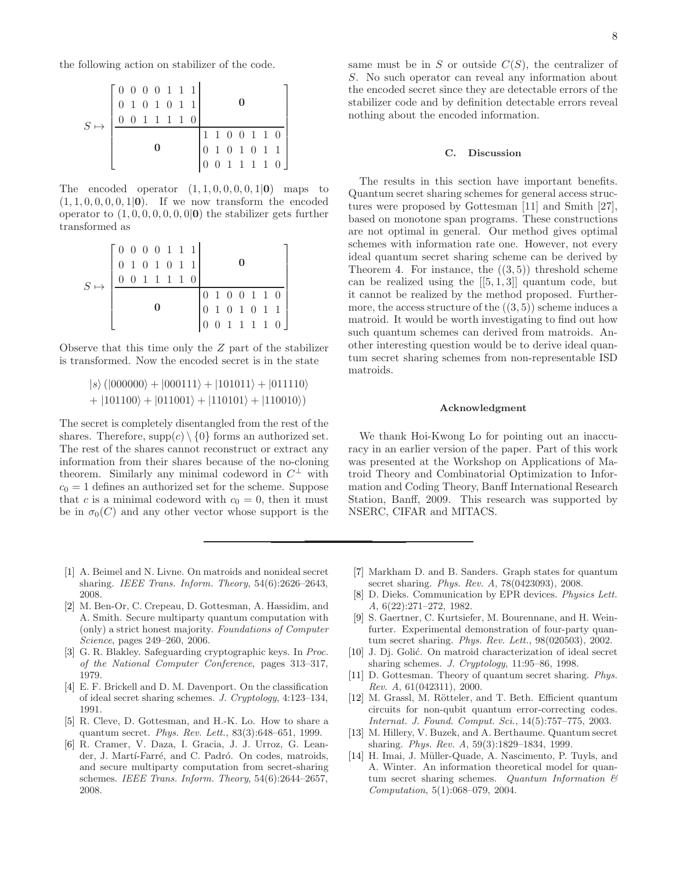the following action on stabilizer of the code.

| $S \mapsto$ | $\begin{bmatrix} 0 & 0 & 0 & 0 & 1 & 1 & 1 \end{bmatrix}$ | 0 1 0 1 0 1 1<br>$\left( \right)$ |  | 11110 |  |  |  |                                                                                                                     |
|-------------|-----------------------------------------------------------|-----------------------------------|--|-------|--|--|--|---------------------------------------------------------------------------------------------------------------------|
|             |                                                           |                                   |  |       |  |  |  | $\begin{bmatrix} 1 & 1 & 0 & 0 & 1 & 1 & 0 \\ 0 & 1 & 0 & 1 & 0 & 1 & 1 \\ 0 & 0 & 1 & 1 & 1 & 1 & 0 \end{bmatrix}$ |

The encoded operator  $(1, 1, 0, 0, 0, 0, 1|0)$  maps to  $(1, 1, 0, 0, 0, 0, 1|0)$ . If we now transform the encoded operator to  $(1, 0, 0, 0, 0, 0, 0, 0)$  the stabilizer gets further transformed as

|             | $\begin{bmatrix} 0 & 0 & 0 & 0 & 1 & 1 & 1 \end{bmatrix}$ |  |  | 1 1 1 1 0 | 0 1 0 1 0 1 1 |                    |  |               |                                                                                      |
|-------------|-----------------------------------------------------------|--|--|-----------|---------------|--------------------|--|---------------|--------------------------------------------------------------------------------------|
| $S \mapsto$ |                                                           |  |  |           |               | $\mathbf{0}$<br>10 |  | 0 1 0 0 1 1 0 | $\begin{pmatrix} 1 & 0 & 0 & 1 & 1 \\ 1 & 0 & 1 & 0 & 1 & 1 \end{pmatrix}$<br>011110 |

Observe that this time only the Z part of the stabilizer is transformed. Now the encoded secret is in the state

$$
|s\rangle (|000000\rangle + |000111\rangle + |101011\rangle + |011110\rangle + |101100\rangle + |011001\rangle + |110101\rangle + |110010\rangle)
$$

The secret is completely disentangled from the rest of the shares. Therefore,  $supp(c) \setminus \{0\}$  forms an authorized set. The rest of the shares cannot reconstruct or extract any information from their shares because of the no-cloning theorem. Similarly any minimal codeword in  $C^{\perp}$  with  $c_0 = 1$  defines an authorized set for the scheme. Suppose that c is a minimal codeword with  $c_0 = 0$ , then it must be in  $\sigma_0(C)$  and any other vector whose support is the

same must be in  $S$  or outside  $C(S)$ , the centralizer of S. No such operator can reveal any information about the encoded secret since they are detectable errors of the stabilizer code and by definition detectable errors reveal nothing about the encoded information.

#### C. Discussion

The results in this section have important benefits. Quantum secret sharing schemes for general access structures were proposed by Gottesman [11] and Smith [27], based on monotone span programs. These constructions are not optimal in general. Our method gives optimal schemes with information rate one. However, not every ideal quantum secret sharing scheme can be derived by Theorem 4. For instance, the  $((3,5))$  threshold scheme can be realized using the  $[[5,1,3]]$  quantum code, but it cannot be realized by the method proposed. Furthermore, the access structure of the  $((3,5))$  scheme induces a matroid. It would be worth investigating to find out how such quantum schemes can derived from matroids. Another interesting question would be to derive ideal quantum secret sharing schemes from non-representable ISD matroids.

#### Acknowledgment

We thank Hoi-Kwong Lo for pointing out an inaccuracy in an earlier version of the paper. Part of this work was presented at the Workshop on Applications of Matroid Theory and Combinatorial Optimization to Information and Coding Theory, Banff International Research Station, Banff, 2009. This research was supported by NSERC, CIFAR and MITACS.

- [1] A. Beimel and N. Livne. On matroids and nonideal secret sharing. IEEE Trans. Inform. Theory, 54(6):2626–2643, 2008.
- [2] M. Ben-Or, C. Crepeau, D. Gottesman, A. Hassidim, and A. Smith. Secure multiparty quantum computation with (only) a strict honest majority. Foundations of Computer Science, pages 249–260, 2006.
- [3] G. R. Blakley. Safeguarding cryptographic keys. In Proc. of the National Computer Conference, pages 313–317, 1979.
- [4] E. F. Brickell and D. M. Davenport. On the classification of ideal secret sharing schemes. J. Cryptology, 4:123–134, 1991.
- [5] R. Cleve, D. Gottesman, and H.-K. Lo. How to share a quantum secret. Phys. Rev. Lett., 83(3):648–651, 1999.
- [6] R. Cramer, V. Daza, I. Gracia, J. J. Urroz, G. Leander, J. Martí-Farré, and C. Padró. On codes, matroids, and secure multiparty computation from secret-sharing schemes. IEEE Trans. Inform. Theory, 54(6):2644–2657, 2008.
- [7] Markham D. and B. Sanders. Graph states for quantum secret sharing. Phys. Rev. A, 78(0423093), 2008.
- [8] D. Dieks. Communication by EPR devices. Physics Lett. A, 6(22):271–272, 1982.
- [9] S. Gaertner, C. Kurtsiefer, M. Bourennane, and H. Weinfurter. Experimental demonstration of four-party quantum secret sharing. Phys. Rev. Lett., 98(020503), 2002.
- [10] J. Dj. Golić. On matroid characterization of ideal secret sharing schemes. J. Cryptology, 11:95–86, 1998.
- [11] D. Gottesman. Theory of quantum secret sharing. Phys. Rev. A, 61(042311), 2000.
- [12] M. Grassl, M. Rötteler, and T. Beth. Efficient quantum circuits for non-qubit quantum error-correcting codes. Internat. J. Found. Comput. Sci., 14(5):757–775, 2003.
- [13] M. Hillery, V. Buzek, and A. Berthaume. Quantum secret sharing. Phys. Rev. A, 59(3):1829–1834, 1999.
- [14] H. Imai, J. Müller-Quade, A. Nascimento, P. Tuyls, and A. Winter. An information theoretical model for quantum secret sharing schemes. Quantum Information  $\mathcal C$ Computation, 5(1):068–079, 2004.